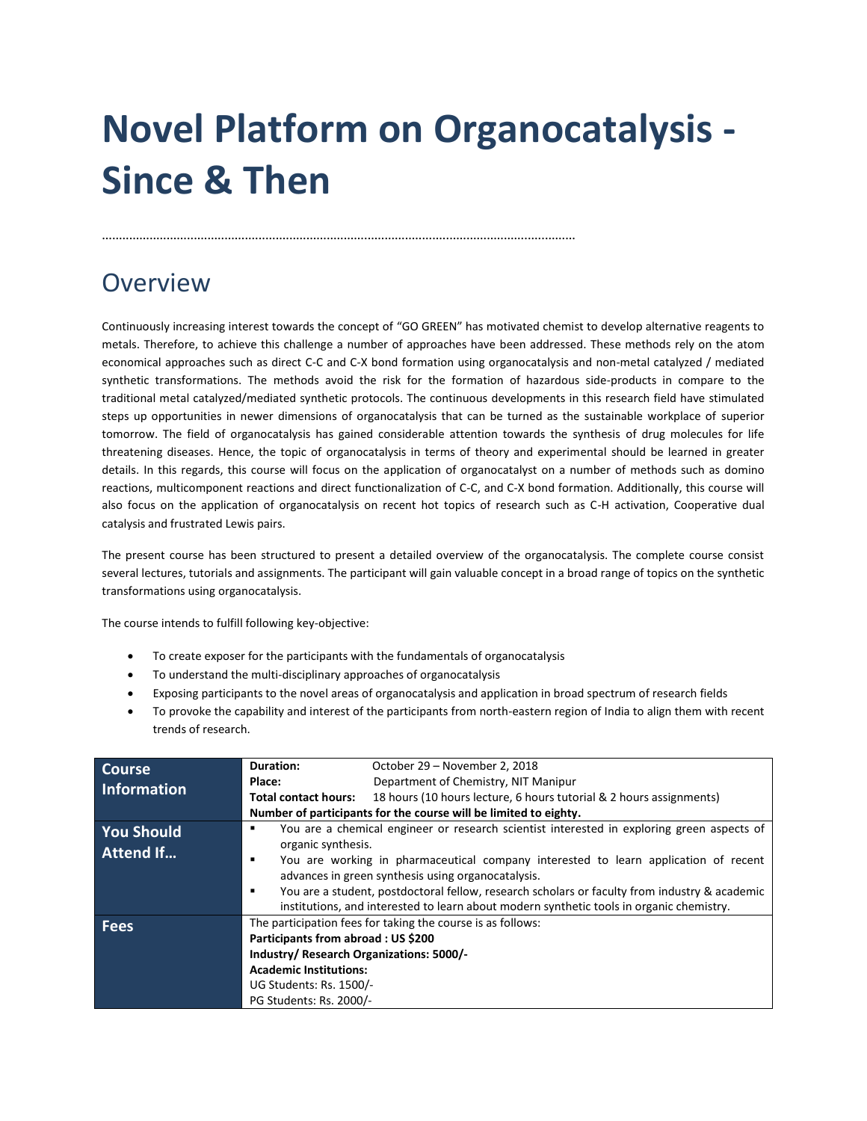# **Novel Platform on Organocatalysis - Since & Then**

### **Overview**

Continuously increasing interest towards the concept of "GO GREEN" has motivated chemist to develop alternative reagents to metals. Therefore, to achieve this challenge a number of approaches have been addressed. These methods rely on the atom economical approaches such as direct C-C and C-X bond formation using organocatalysis and non-metal catalyzed / mediated synthetic transformations. The methods avoid the risk for the formation of hazardous side-products in compare to the traditional metal catalyzed/mediated synthetic protocols. The continuous developments in this research field have stimulated steps up opportunities in newer dimensions of organocatalysis that can be turned as the sustainable workplace of superior tomorrow. The field of organocatalysis has gained considerable attention towards the synthesis of drug molecules for life threatening diseases. Hence, the topic of organocatalysis in terms of theory and experimental should be learned in greater details. In this regards, this course will focus on the application of organocatalyst on a number of methods such as domino reactions, multicomponent reactions and direct functionalization of C-C, and C-X bond formation. Additionally, this course will also focus on the application of organocatalysis on recent hot topics of research such as C-H activation, Cooperative dual catalysis and frustrated Lewis pairs.

The present course has been structured to present a detailed overview of the organocatalysis. The complete course consist several lectures, tutorials and assignments. The participant will gain valuable concept in a broad range of topics on the synthetic transformations using organocatalysis.

The course intends to fulfill following key-objective:

To create exposer for the participants with the fundamentals of organocatalysis

...........................................................................................................................................

- To understand the multi-disciplinary approaches of organocatalysis
- Exposing participants to the novel areas of organocatalysis and application in broad spectrum of research fields
- To provoke the capability and interest of the participants from north-eastern region of India to align them with recent trends of research.

| <b>Course</b>                         | Duration:                                                                                                                                                                                                                                                                                                                                                                                                                                                            | October 29 – November 2, 2018                                       |
|---------------------------------------|----------------------------------------------------------------------------------------------------------------------------------------------------------------------------------------------------------------------------------------------------------------------------------------------------------------------------------------------------------------------------------------------------------------------------------------------------------------------|---------------------------------------------------------------------|
| Information                           | Place:                                                                                                                                                                                                                                                                                                                                                                                                                                                               | Department of Chemistry, NIT Manipur                                |
|                                       | <b>Total contact hours:</b>                                                                                                                                                                                                                                                                                                                                                                                                                                          | 18 hours (10 hours lecture, 6 hours tutorial & 2 hours assignments) |
|                                       | Number of participants for the course will be limited to eighty.                                                                                                                                                                                                                                                                                                                                                                                                     |                                                                     |
| <b>You Should</b><br><b>Attend If</b> | You are a chemical engineer or research scientist interested in exploring green aspects of<br>٠<br>organic synthesis.<br>You are working in pharmaceutical company interested to learn application of recent<br>advances in green synthesis using organocatalysis.<br>You are a student, postdoctoral fellow, research scholars or faculty from industry & academic<br>٠<br>institutions, and interested to learn about modern synthetic tools in organic chemistry. |                                                                     |
| <b>Fees</b>                           | The participation fees for taking the course is as follows:<br>Participants from abroad: US \$200<br>Industry/ Research Organizations: 5000/-<br><b>Academic Institutions:</b><br>UG Students: Rs. 1500/-<br>PG Students: Rs. 2000/-                                                                                                                                                                                                                                 |                                                                     |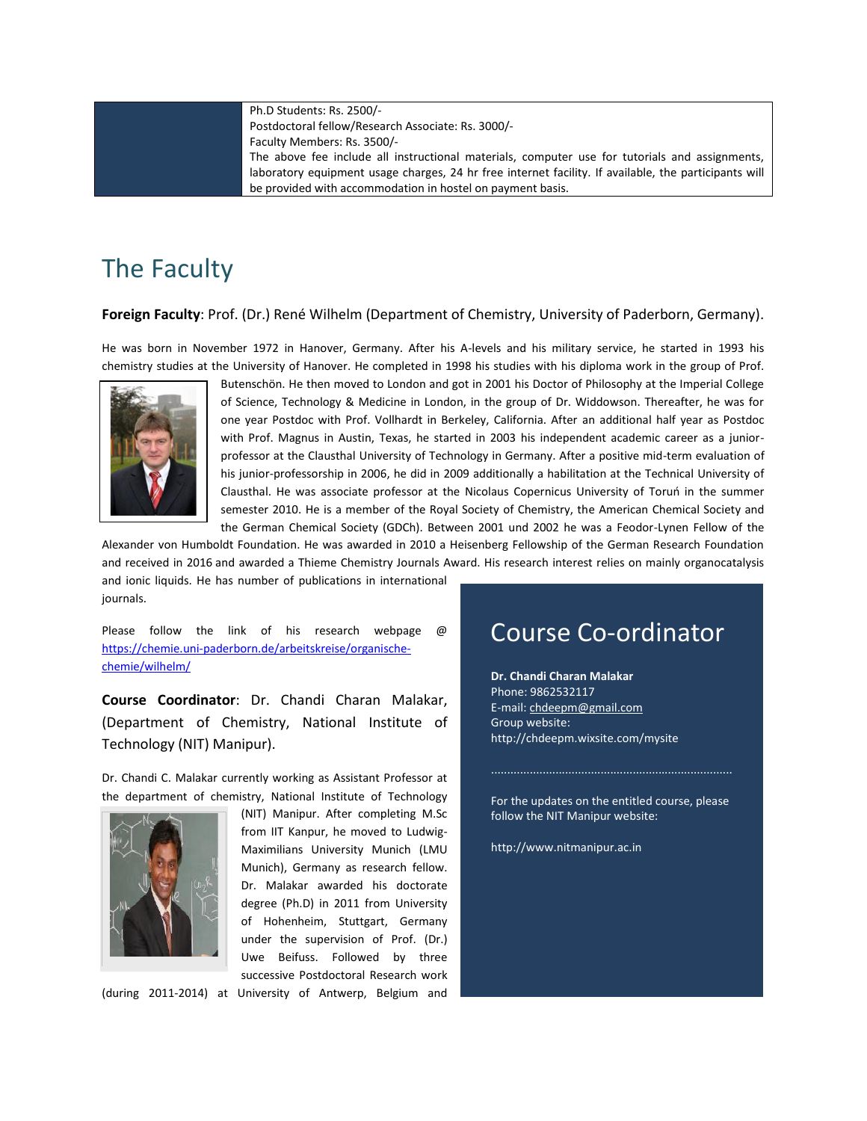Ph.D Students: Rs. 2500/- Postdoctoral fellow/Research Associate: Rs. 3000/- Faculty Members: Rs. 3500/- The above fee include all instructional materials, computer use for tutorials and assignments, laboratory equipment usage charges, 24 hr free internet facility. If available, the participants will be provided with accommodation in hostel on payment basis.

# The Faculty

#### **Foreign Faculty**: Prof. (Dr.) René Wilhelm (Department of Chemistry, University of Paderborn, Germany).

He was born in November 1972 in Hanover, Germany. After his A-levels and his military service, he started in 1993 his chemistry studies at the University of Hanover. He completed in 1998 his studies with his diploma work in the group of Prof.



Butenschön. He then moved to London and got in 2001 his Doctor of Philosophy at the Imperial College of Science, Technology & Medicine in London, in the group of Dr. Widdowson. Thereafter, he was for one year Postdoc with Prof. Vollhardt in Berkeley, California. After an additional half year as Postdoc with Prof. Magnus in Austin, Texas, he started in 2003 his independent academic career as a juniorprofessor at the Clausthal University of Technology in Germany. After a positive mid-term evaluation of his junior-professorship in 2006, he did in 2009 additionally a habilitation at the Technical University of Clausthal. He was associate professor at the Nicolaus Copernicus University of Toruń in the summer semester 2010. He is a member of the Royal Society of Chemistry, the American Chemical Society and the German Chemical Society (GDCh). Between 2001 und 2002 he was a Feodor-Lynen Fellow of the

Alexander von Humboldt Foundation. He was awarded in 2010 a Heisenberg Fellowship of the German Research Foundation and received in 2016 and awarded a Thieme Chemistry Journals Award. His research interest relies on mainly organocatalysis and ionic liquids. He has number of publications in international journals.

Please follow the link of his research webpage @ [https://chemie.uni-paderborn.de/arbeitskreise/organische](https://chemie.uni-paderborn.de/arbeitskreise/organische-chemie/wilhelm/)[chemie/wilhelm/](https://chemie.uni-paderborn.de/arbeitskreise/organische-chemie/wilhelm/)

**Course Coordinator**: Dr. Chandi Charan Malakar, (Department of Chemistry, National Institute of Technology (NIT) Manipur).

Dr. Chandi C. Malakar currently working as Assistant Professor at the department of chemistry, National Institute of Technology



(NIT) Manipur. After completing M.Sc from IIT Kanpur, he moved to Ludwig-Maximilians University Munich (LMU Munich), Germany as research fellow. Dr. Malakar awarded his doctorate degree (Ph.D) in 2011 from University of Hohenheim, Stuttgart, Germany under the supervision of Prof. (Dr.) Uwe Beifuss. Followed by three successive Postdoctoral Research work

(during 2011-2014) at University of Antwerp, Belgium and

### Course Co-ordinator

**Dr. Chandi Charan Malakar**  Phone: 9862532117 E-mail[: chdeepm@gmail.com](mailto:chdeepm@gmail.com) Group website: http://chdeepm.wixsite.com/mysite

For the updates on the entitled course, please follow the NIT Manipur website:

...........................................................................

http://www.nitmanipur.ac.in